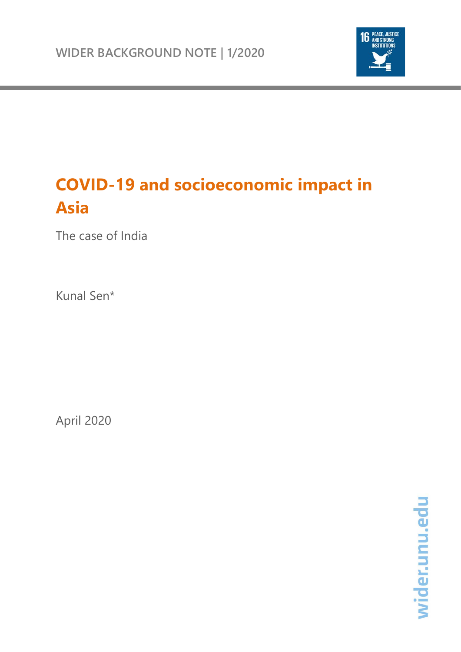

# **COVID-19 and socioeconomic impact in Asia**

The case of India

Kunal Sen\*

April 2020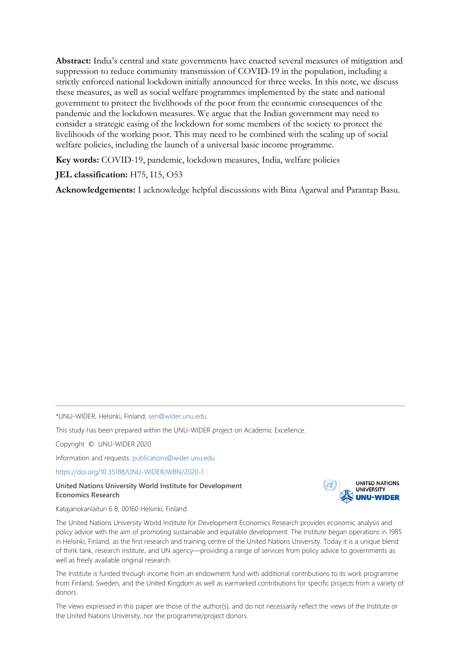**Abstract:** India's central and state governments have enacted several measures of mitigation and suppression to reduce community transmission of COVID-19 in the population, including a strictly enforced national lockdown initially announced for three weeks. In this note, we discuss these measures, as well as social welfare programmes implemented by the state and national government to protect the livelihoods of the poor from the economic consequences of the pandemic and the lockdown measures. We argue that the Indian government may need to consider a strategic easing of the lockdown for some members of the society to protect the livelihoods of the working poor. This may need to be combined with the scaling up of social welfare policies, including the launch of a universal basic income programme.

**Key words:** COVID-19, pandemic, lockdown measures, India, welfare policies

## **JEL classification:** H75, I15, O53

**Acknowledgements:** I acknowledge helpful discussions with Bina Agarwal and Parantap Basu.

\*UNU-WIDER, Helsinki, Finland; [sen@wider.unu.edu.](mailto:sen@wider.unu.edu) 

This study has been prepared within the UNU-WIDER project on Academic Excellence.

Copyright © UNU-WIDER 2020

Information and requests: [publications@wider.unu.edu](mailto:publications@wider.unu.edu)

<https://doi.org/10.35188/UNU-WIDER/WBN/2020-1>

#### **United Nations University World Institute for Development Economics Research**



Katajanokanlaituri 6 B, 00160 Helsinki, Finland

The United Nations University World Institute for Development Economics Research provides economic analysis and policy advice with the aim of promoting sustainable and equitable development. The Institute began operations in 1985 in Helsinki, Finland, as the first research and training centre of the United Nations University. Today it is a unique blend of think tank, research institute, and UN agency—providing a range of services from policy advice to governments as well as freely available original research.

The Institute is funded through income from an endowment fund with additional contributions to its work programme from Finland, Sweden, and the United Kingdom as well as earmarked contributions for specific projects from a variety of donors.

The views expressed in this paper are those of the author(s), and do not necessarily reflect the views of the Institute or the United Nations University, nor the programme/project donors.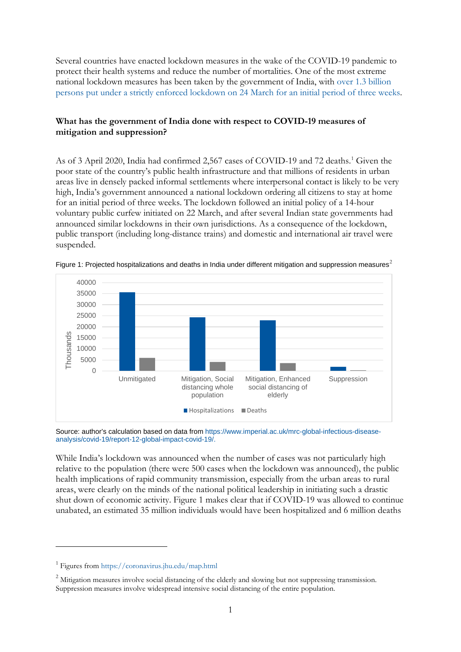Several countries have enacted lockdown measures in the wake of the COVID-19 pandemic to protect their health systems and reduce the number of mortalities. One of the most extreme national lockdown measures has been taken by the government of India, with [over 1.3 billion](https://www.bbc.co.uk/news/world-asia-india-52081396)  [persons put under a strictly enforced lockdown on 24 March for an initial period of three weeks.](https://www.bbc.co.uk/news/world-asia-india-52081396)

## **What has the government of India done with respect to COVID-19 measures of mitigation and suppression?**

As of 3 April 2020, India had confirmed 2,567 cases of COVID-19 and 72 deaths. [1](#page-2-0) Given the poor state of the country's public health infrastructure and that millions of residents in urban areas live in densely packed informal settlements where interpersonal contact is likely to be very high, India's government announced a national lockdown ordering all citizens to stay at home for an initial period of three weeks. The lockdown followed an initial policy of a 14-hour voluntary public curfew initiated on 22 March, and after several Indian state governments had announced similar lockdowns in their own jurisdictions. As a consequence of the lockdown, public transport (including long-distance trains) and domestic and international air travel were suspended.



Figure 1: Projected hospitalizations and deaths in India under different mitigation and suppression measures<sup>[2](#page-2-1)</sup>

Source: author's calculation based on data from [https://www.imperial.ac.uk/mrc-global-infectious-disease](https://www.imperial.ac.uk/mrc-global-infectious-disease-analysis/covid-19/report-12-global-impact-covid-19/)[analysis/covid-19/report-12-global-impact-covid-19/.](https://www.imperial.ac.uk/mrc-global-infectious-disease-analysis/covid-19/report-12-global-impact-covid-19/)

While India's lockdown was announced when the number of cases was not particularly high relative to the population (there were 500 cases when the lockdown was announced), the public health implications of rapid community transmission, especially from the urban areas to rural areas, were clearly on the minds of the national political leadership in initiating such a drastic shut down of economic activity. Figure 1 makes clear that if COVID-19 was allowed to continue unabated, an estimated 35 million individuals would have been hospitalized and 6 million deaths

<span id="page-2-0"></span><sup>1</sup> Figures fro[m https://coronavirus.jhu.edu/map.html](https://coronavirus.jhu.edu/map.html)

<span id="page-2-1"></span><sup>&</sup>lt;sup>2</sup> Mitigation measures involve social distancing of the elderly and slowing but not suppressing transmission. Suppression measures involve widespread intensive social distancing of the entire population.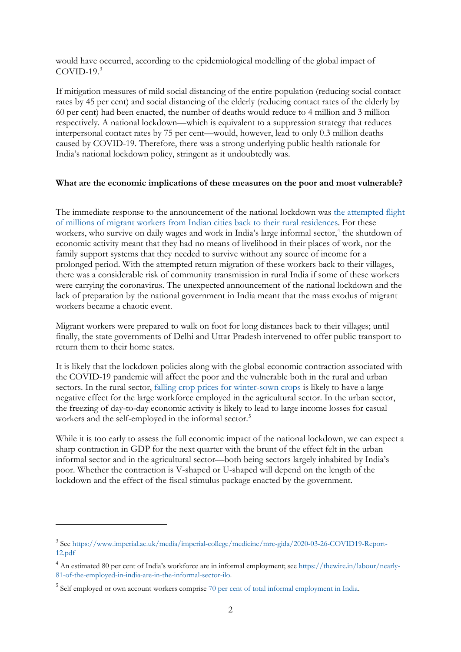would have occurred, according to the epidemiological modelling of the global impact of  $COVID-19.<sup>3</sup>$  $COVID-19.<sup>3</sup>$  $COVID-19.<sup>3</sup>$ 

If mitigation measures of mild social distancing of the entire population (reducing social contact rates by 45 per cent) and social distancing of the elderly (reducing contact rates of the elderly by 60 per cent) had been enacted, the number of deaths would reduce to 4 million and 3 million respectively. A national lockdown—which is equivalent to a suppression strategy that reduces interpersonal contact rates by 75 per cent—would, however, lead to only 0.3 million deaths caused by COVID-19. Therefore, there was a strong underlying public health rationale for India's national lockdown policy, stringent as it undoubtedly was.

#### **What are the economic implications of these measures on the poor and most vulnerable?**

The immediate response to the announcement of the national lockdown was [the attempted flight](https://www.bbc.co.uk/news/av/world-asia-india-52093574/coronavirus-huge-crowds-as-india-lockdown-sparks-mass-migration)  [of millions of migrant workers from Indian cities back to their rural residences.](https://www.bbc.co.uk/news/av/world-asia-india-52093574/coronavirus-huge-crowds-as-india-lockdown-sparks-mass-migration) For these workers, who survive on daily wages and work in India's large informal sector,<sup>[4](#page-3-1)</sup> the shutdown of economic activity meant that they had no means of livelihood in their places of work, nor the family support systems that they needed to survive without any source of income for a prolonged period. With the attempted return migration of these workers back to their villages, there was a considerable risk of community transmission in rural India if some of these workers were carrying the coronavirus. The unexpected announcement of the national lockdown and the lack of preparation by the national government in India meant that the mass exodus of migrant workers became a chaotic event.

Migrant workers were prepared to walk on foot for long distances back to their villages; until finally, the state governments of Delhi and Uttar Pradesh intervened to offer public transport to return them to their home states.

It is likely that the lockdown policies along with the global economic contraction associated with the COVID-19 pandemic will affect the poor and the vulnerable both in the rural and urban sectors. In the rural sector, [falling crop prices for winter-sown crops](https://www.reuters.com/article/health-coronavirus-india-agriculture/coronavirus-undermines-indian-crop-prices-derails-rural-rebound-idUSL4N2BB4TM) is likely to have a large negative effect for the large workforce employed in the agricultural sector. In the urban sector, the freezing of day-to-day economic activity is likely to lead to large income losses for casual workers and the self-employed in the informal sector.<sup>[5](#page-3-2)</sup>

While it is too early to assess the full economic impact of the national lockdown, we can expect a sharp contraction in GDP for the next quarter with the brunt of the effect felt in the urban informal sector and in the agricultural sector—both being sectors largely inhabited by India's poor. Whether the contraction is V-shaped or U-shaped will depend on the length of the lockdown and the effect of the fiscal stimulus package enacted by the government.

<span id="page-3-0"></span><sup>3</sup> See [https://www.imperial.ac.uk/media/imperial-college/medicine/mrc-gida/2020-03-26-COVID19-Report-](https://www.imperial.ac.uk/media/imperial-college/medicine/mrc-gida/2020-03-26-COVID19-Report-12.pdf)[12.pdf](https://www.imperial.ac.uk/media/imperial-college/medicine/mrc-gida/2020-03-26-COVID19-Report-12.pdf)

<span id="page-3-1"></span><sup>&</sup>lt;sup>4</sup> An estimated 80 per cent of India's workforce are in informal employment; see [https://thewire.in/labour/nearly-](https://thewire.in/labour/nearly-81-of-the-employed-in-india-are-in-the-informal-sector-ilo)[81-of-the-employed-in-india-are-in-the-informal-sector-ilo.](https://thewire.in/labour/nearly-81-of-the-employed-in-india-are-in-the-informal-sector-ilo)

<span id="page-3-2"></span><sup>&</sup>lt;sup>5</sup> Self employed or own account workers comprise [70 per cent of total informal employment in India.](https://www.ilo.org/global/publications/books/WCMS_626831/lang--en/index.htm)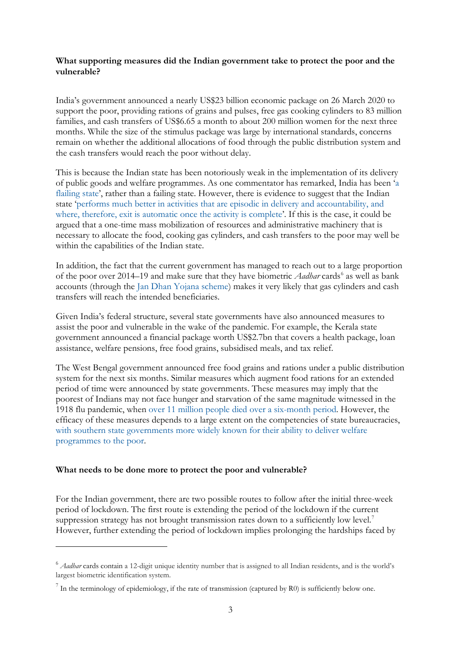## **What supporting measures did the Indian government take to protect the poor and the vulnerable?**

India's government announced a nearly US\$23 billion economic package on 26 March 2020 to support the poor, providing rations of grains and pulses, free gas cooking cylinders to 83 million families, and cash transfers of US\$6.65 a month to about 200 million women for the next three months. While the size of the stimulus package was large by international standards, concerns remain on whether the additional allocations of food through the public distribution system and the cash transfers would reach the poor without delay.

This is because the Indian state has been notoriously weak in the implementation of its delivery of public goods and welfare programmes. As one commentator has remarked, India has been ['a](https://dash.harvard.edu/bitstream/handle/1/4449106/Pritchett%20India%20Flailing%20State.pdf)  [flailing state'](https://dash.harvard.edu/bitstream/handle/1/4449106/Pritchett%20India%20Flailing%20State.pdf), rather than a failing state. However, there is evidence to suggest that the Indian state ['performs much better in activities that are episodic in delivery and accountability, and](https://www.aeaweb.org/articles?id=10.1257/jep.34.1.31)  [where, therefore, exit is automatic once the activity is complete'](https://www.aeaweb.org/articles?id=10.1257/jep.34.1.31). If this is the case, it could be argued that a one-time mass mobilization of resources and administrative machinery that is necessary to allocate the food, cooking gas cylinders, and cash transfers to the poor may well be within the capabilities of the Indian state.

In addition, the fact that the current government has managed to reach out to a large proportion of the poor over 2014–19 and make sure that they have biometric *Aadhar* cards<sup>[6](#page-4-0)</sup> as well as bank accounts (through the [Jan Dhan Yojana scheme\)](https://pmjdy.gov.in/) makes it very likely that gas cylinders and cash transfers will reach the intended beneficiaries.

Given India's federal structure, several state governments have also announced measures to assist the poor and vulnerable in the wake of the pandemic. For example, the Kerala state government announced a financial package worth US\$2.7bn that covers a health package, loan assistance, welfare pensions, free food grains, subsidised meals, and tax relief.

The West Bengal government announced free food grains and rations under a public distribution system for the next six months. Similar measures which augment food rations for an extended period of time were announced by state governments. These measures may imply that the poorest of Indians may not face hunger and starvation of the same magnitude witnessed in the 1918 flu pandemic, when [over 11 million people died over a six-month period.](http://www.econ.yale.edu/%7Eegcenter/Dave%20Donaldson.pdf) However, the efficacy of these measures depends to a large extent on the competencies of state bureaucracies, with southern [state governments more widely known for their ability to deliver welfare](https://www.cambridge.org/core/books/how-solidarity-works-for-welfare/2DC23320E84A17688562F12636807D78)  [programmes to the poor.](https://www.cambridge.org/core/books/how-solidarity-works-for-welfare/2DC23320E84A17688562F12636807D78)

#### **What needs to be done more to protect the poor and vulnerable?**

For the Indian government, there are two possible routes to follow after the initial three-week period of lockdown. The first route is extending the period of the lockdown if the current suppression strategy has not brought transmission rates down to a sufficiently low level.<sup>[7](#page-4-1)</sup> However, further extending the period of lockdown implies prolonging the hardships faced by

<span id="page-4-0"></span><sup>6</sup> *Aadhar* cards contain a 12-digit unique identity number that is assigned to all Indian residents, and is the world's largest biometric identification system.

<span id="page-4-1"></span> $<sup>7</sup>$  In the terminology of epidemiology, if the rate of transmission (captured by R0) is sufficiently below one.</sup>